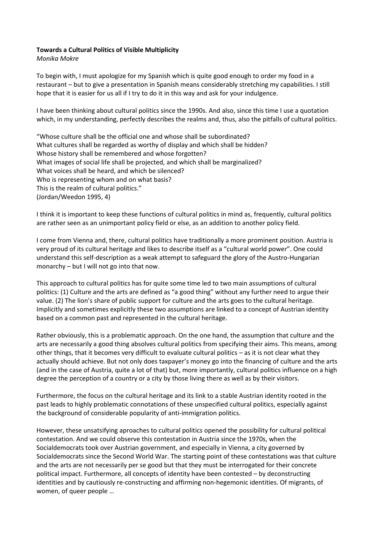## **Towards a Cultural Politics of Visible Multiplicity**

*Monika Mokre*

To begin with, I must apologize for my Spanish which is quite good enough to order my food in a restaurant – but to give a presentation in Spanish means considerably stretching my capabilities. I still hope that it is easier for us all if I try to do it in this way and ask for your indulgence.

I have been thinking about cultural politics since the 1990s. And also, since this time I use a quotation which, in my understanding, perfectly describes the realms and, thus, also the pitfalls of cultural politics.

"Whose culture shall be the official one and whose shall be subordinated? What cultures shall be regarded as worthy of display and which shall be hidden? Whose history shall be remembered and whose forgotten? What images of social life shall be projected, and which shall be marginalized? What voices shall be heard, and which be silenced? Who is representing whom and on what basis? This is the realm of cultural politics." (Jordan/Weedon 1995, 4)

I think it is important to keep these functions of cultural politics in mind as, frequently, cultural politics are rather seen as an unimportant policy field or else, as an addition to another policy field.

I come from Vienna and, there, cultural politics have traditionally a more prominent position. Austria is very proud of its cultural heritage and likes to describe itself as a "cultural world power". One could understand this self-description as a weak attempt to safeguard the glory of the Austro-Hungarian monarchy – but I will not go into that now.

This approach to cultural politics has for quite some time led to two main assumptions of cultural politics: (1) Culture and the arts are defined as "a good thing" without any further need to argue their value. (2) The lion's share of public support for culture and the arts goes to the cultural heritage. Implicitly and sometimes explicitly these two assumptions are linked to a concept of Austrian identity based on a common past and represented in the cultural heritage.

Rather obviously, this is a problematic approach. On the one hand, the assumption that culture and the arts are necessarily a good thing absolves cultural politics from specifying their aims. This means, among other things, that it becomes very difficult to evaluate cultural politics – as it is not clear what they actually should achieve. But not only does taxpayer's money go into the financing of culture and the arts (and in the case of Austria, quite a lot of that) but, more importantly, cultural politics influence on a high degree the perception of a country or a city by those living there as well as by their visitors.

Furthermore, the focus on the cultural heritage and its link to a stable Austrian identity rooted in the past leads to highly problematic connotations of these unspecified cultural politics, especially against the background of considerable popularity of anti-immigration politics.

However, these unsatsifying aproaches to cultural politics opened the possibility for cultural political contestation. And we could observe this contestation in Austria since the 1970s, when the Socialdemocrats took over Austrian government, and especially in Vienna, a city governed by Socialdemocrats since the Second World War. The starting point of these contestations was that culture and the arts are not necessarily per se good but that they must be interrogated for their concrete political impact. Furthermore, all concepts of identity have been contested – by deconstructing identities and by cautiously re-constructing and affirming non-hegemonic identities. Of migrants, of women, of queer people …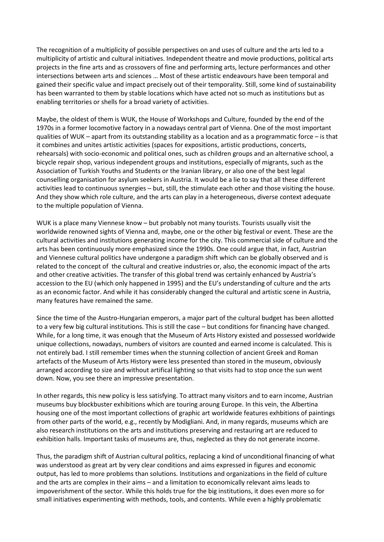The recognition of a multiplicity of possible perspectives on and uses of culture and the arts led to a multiplicity of artistic and cultural initiatives. Independent theatre and movie productions, political arts projects in the fine arts and as crossovers of fine and performing arts, lecture performances and other intersections between arts and sciences … Most of these artistic endeavours have been temporal and gained their specific value and impact precisely out of their temporality. Still, some kind of sustainability has been warranted to them by stable locations which have acted not so much as institutions but as enabling territories or shells for a broad variety of activities.

Maybe, the oldest of them is WUK, the House of Workshops and Culture, founded by the end of the 1970s in a former locomotive factory in a nowadays central part of Vienna. One of the most important qualities of WUK – apart from its outstanding stability as a location and as a programmatic force – is that it combines and unites artistic activities (spaces for expositions, artistic productions, concerts, rehearsals) with socio-economic and political ones, such as children groups and an alternative school, a bicycle repair shop, various independent groups and institutions, especially of migrants, such as the Association of Turkish Youths and Students or the Iranian library, or also one of the best legal counselling organisation for asylum seekers in Austria. It would be a lie to say that all these different activities lead to continuous synergies – but, still, the stimulate each other and those visiting the house. And they show which role culture, and the arts can play in a heterogeneous, diverse context adequate to the multiple population of Vienna.

WUK is a place many Viennese know – but probably not many tourists. Tourists usually visit the worldwide renowned sights of Vienna and, maybe, one or the other big festival or event. These are the cultural activities and institutions generating income for the city. This commercial side of culture and the arts has been continuously more emphasized since the 1990s. One could argue that, in fact, Austrian and Viennese cultural politics have undergone a paradigm shift which can be globally observed and is related to the concept of the cultural and creative industries or, also, the economic impact of the arts and other creative activities. The transfer of this global trend was certainly enhanced by Austria's accession to the EU (which only happened in 1995) and the EU's understanding of culture and the arts as an economic factor. And while it has considerably changed the cultural and artistic scene in Austria, many features have remained the same.

Since the time of the Austro-Hungarian emperors, a major part of the cultural budget has been allotted to a very few big cultural institutions. This is still the case – but conditions for financing have changed. While, for a long time, it was enough that the Museum of Arts History existed and possessed worldwide unique collections, nowadays, numbers of visitors are counted and earned income is calculated. This is not entirely bad. I still remember times when the stunning collection of ancient Greek and Roman artefacts of the Museum of Arts History were less presented than stored in the museum, obviously arranged according to size and without artifical lighting so that visits had to stop once the sun went down. Now, you see there an impressive presentation.

In other regards, this new policy is less satisfying. To attract many visitors and to earn income, Austrian museums buy blockbuster exhibitions which are touring aroung Europe. In this vein, the Albertina housing one of the most important collections of graphic art worldwide features exhbitions of paintings from other parts of the world, e.g., recently by Modigliani. And, in many regards, museums which are also research institutions on the arts and institutions preserving and restauring art are reduced to exhibition halls. Important tasks of museums are, thus, neglected as they do not generate income.

Thus, the paradigm shift of Austrian cultural politics, replacing a kind of unconditional financing of what was understood as great art by very clear conditions and aims expressed in figures and economic output, has led to more problems than solutions. Institutions and organizations in the field of culture and the arts are complex in their aims – and a limitation to economically relevant aims leads to impoverishment of the sector. While this holds true for the big institutions, it does even more so for small initiatives experimenting with methods, tools, and contents. While even a highly problematic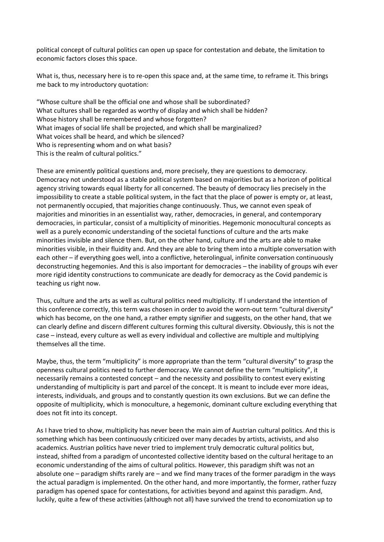political concept of cultural politics can open up space for contestation and debate, the limitation to economic factors closes this space.

What is, thus, necessary here is to re-open this space and, at the same time, to reframe it. This brings me back to my introductory quotation:

"Whose culture shall be the official one and whose shall be subordinated? What cultures shall be regarded as worthy of display and which shall be hidden? Whose history shall be remembered and whose forgotten? What images of social life shall be projected, and which shall be marginalized? What voices shall be heard, and which be silenced? Who is representing whom and on what basis? This is the realm of cultural politics."

These are eminently political questions and, more precisely, they are questions to democracy. Democracy not understood as a stable political system based on majorities but as a horizon of political agency striving towards equal liberty for all concerned. The beauty of democracy lies precisely in the impossibility to create a stable political system, in the fact that the place of power is empty or, at least, not permanently occupied, that majorities change continuously. Thus, we cannot even speak of majorities and minorities in an essentialist way, rather, democracies, in general, and contemporary democracies, in particular, consist of a multiplicity of minorities. Hegemonic monocultural concepts as well as a purely economic understanding of the societal functions of culture and the arts make minorities invisible and silence them. But, on the other hand, culture and the arts are able to make minorities visible, in their fluidity and. And they are able to bring them into a multiple conversation with each other – if everything goes well, into a conflictive, heterolingual, infinite conversation continuously deconstructing hegemonies. And this is also important for democracies – the inability of groups wih ever more rigid identity constructions to communicate are deadly for democracy as the Covid pandemic is teaching us right now.

Thus, culture and the arts as well as cultural politics need multiplicity. If I understand the intention of this conference correctly, this term was chosen in order to avoid the worn-out term "cultural diversity" which has become, on the one hand, a rather empty signifier and suggests, on the other hand, that we can clearly define and discern different cultures forming this cultural diversity. Obviously, this is not the case – instead, every culture as well as every individual and collective are multiple and multiplying themselves all the time.

Maybe, thus, the term "multiplicity" is more appropriate than the term "cultural diversity" to grasp the openness cultural politics need to further democracy. We cannot define the term "multiplicity", it necessarily remains a contested concept – and the necessity and possibility to contest every existing understanding of multiplicity is part and parcel of the concept. It is meant to include ever more ideas, interests, individuals, and groups and to constantly question its own exclusions. But we can define the opposite of multiplicity, which is monoculture, a hegemonic, dominant culture excluding everything that does not fit into its concept.

As I have tried to show, multiplicity has never been the main aim of Austrian cultural politics. And this is something which has been continuously criticized over many decades by artists, activists, and also academics. Austrian politics have never tried to implement truly democratic cultural politics but, instead, shifted from a paradigm of uncontested collective identity based on the cultural heritage to an economic understanding of the aims of cultural politics. However, this paradigm shift was not an absolute one – paradigm shifts rarely are – and we find many traces of the former paradigm in the ways the actual paradigm is implemented. On the other hand, and more importantly, the former, rather fuzzy paradigm has opened space for contestations, for activities beyond and against this paradigm. And, luckily, quite a few of these activities (although not all) have survived the trend to economization up to